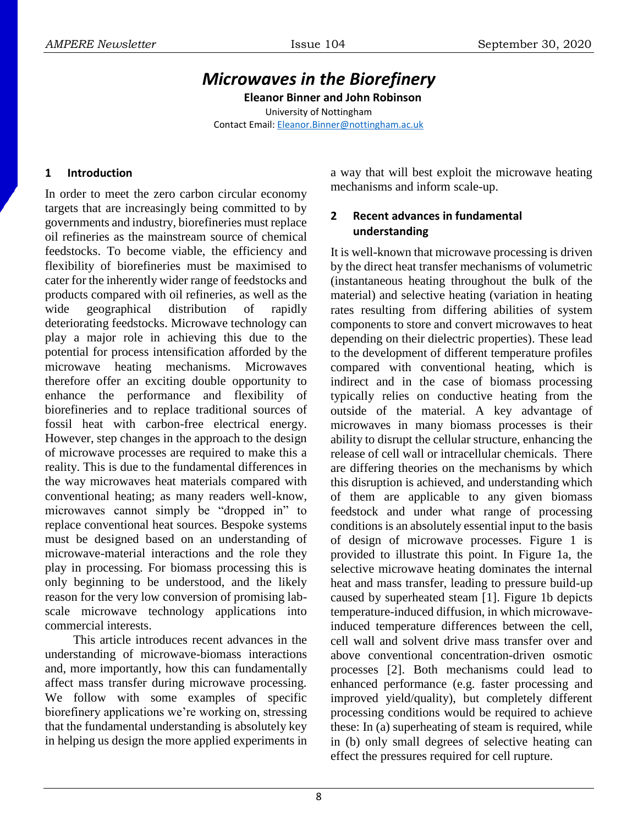# *Microwaves in the Biorefinery*

**Eleanor Binner and John Robinson** University of Nottingham Contact Email: [Eleanor.Binner@nottingham.ac.uk](mailto:Eleanor.Binner@nottingham.ac.uk)

## **1 Introduction**

In order to meet the zero carbon circular economy targets that are increasingly being committed to by governments and industry, biorefineries must replace oil refineries as the mainstream source of chemical feedstocks. To become viable, the efficiency and flexibility of biorefineries must be maximised to cater for the inherently wider range of feedstocks and products compared with oil refineries, as well as the wide geographical distribution of rapidly deteriorating feedstocks. Microwave technology can play a major role in achieving this due to the potential for process intensification afforded by the microwave heating mechanisms. Microwaves therefore offer an exciting double opportunity to enhance the performance and flexibility of biorefineries and to replace traditional sources of fossil heat with carbon-free electrical energy. However, step changes in the approach to the design of microwave processes are required to make this a reality. This is due to the fundamental differences in the way microwaves heat materials compared with conventional heating; as many readers well-know, microwaves cannot simply be "dropped in" to replace conventional heat sources. Bespoke systems must be designed based on an understanding of microwave-material interactions and the role they play in processing. For biomass processing this is only beginning to be understood, and the likely reason for the very low conversion of promising labscale microwave technology applications into commercial interests.

This article introduces recent advances in the understanding of microwave-biomass interactions and, more importantly, how this can fundamentally affect mass transfer during microwave processing. We follow with some examples of specific biorefinery applications we're working on, stressing that the fundamental understanding is absolutely key in helping us design the more applied experiments in a way that will best exploit the microwave heating mechanisms and inform scale-up.

## **2 Recent advances in fundamental understanding**

It is well-known that microwave processing is driven by the direct heat transfer mechanisms of volumetric (instantaneous heating throughout the bulk of the material) and selective heating (variation in heating rates resulting from differing abilities of system components to store and convert microwaves to heat depending on their dielectric properties). These lead to the development of different temperature profiles compared with conventional heating, which is indirect and in the case of biomass processing typically relies on conductive heating from the outside of the material. A key advantage of microwaves in many biomass processes is their ability to disrupt the cellular structure, enhancing the release of cell wall or intracellular chemicals. There are differing theories on the mechanisms by which this disruption is achieved, and understanding which of them are applicable to any given biomass feedstock and under what range of processing conditions is an absolutely essential input to the basis of design of microwave processes. Figure 1 is provided to illustrate this point. In Figure 1a, the selective microwave heating dominates the internal heat and mass transfer, leading to pressure build-up caused by superheated steam [1]. Figure 1b depicts temperature-induced diffusion, in which microwaveinduced temperature differences between the cell, cell wall and solvent drive mass transfer over and above conventional concentration-driven osmotic processes [2]. Both mechanisms could lead to enhanced performance (e.g. faster processing and improved yield/quality), but completely different processing conditions would be required to achieve these: In (a) superheating of steam is required, while in (b) only small degrees of selective heating can effect the pressures required for cell rupture.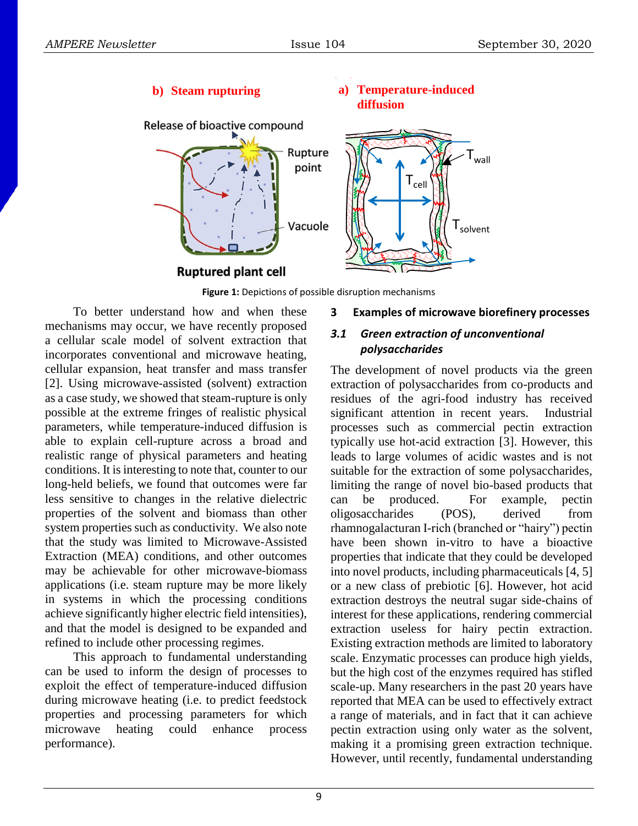

**Figure 1:** Depictions of possible disruption mechanisms

To better understand how and when these mechanisms may occur, we have recently proposed a cellular scale model of solvent extraction that incorporates conventional and microwave heating, cellular expansion, heat transfer and mass transfer [2]. Using microwave-assisted (solvent) extraction as a case study, we showed that steam-rupture is only possible at the extreme fringes of realistic physical parameters, while temperature-induced diffusion is able to explain cell-rupture across a broad and realistic range of physical parameters and heating conditions. It is interesting to note that, counter to our long-held beliefs, we found that outcomes were far less sensitive to changes in the relative dielectric properties of the solvent and biomass than other system properties such as conductivity. We also note that the study was limited to Microwave-Assisted Extraction (MEA) conditions, and other outcomes may be achievable for other microwave-biomass applications (i.e. steam rupture may be more likely in systems in which the processing conditions achieve significantly higher electric field intensities), and that the model is designed to be expanded and refined to include other processing regimes.

This approach to fundamental understanding can be used to inform the design of processes to exploit the effect of temperature-induced diffusion during microwave heating (i.e. to predict feedstock properties and processing parameters for which microwave heating could enhance process performance).

## **3 Examples of microwave biorefinery processes**

#### *3.1 Green extraction of unconventional polysaccharides*

The development of novel products via the green extraction of polysaccharides from co-products and residues of the agri-food industry has received significant attention in recent years. Industrial processes such as commercial pectin extraction typically use hot-acid extraction [3]. However, this leads to large volumes of acidic wastes and is not suitable for the extraction of some polysaccharides, limiting the range of novel bio-based products that can be produced. For example, pectin oligosaccharides (POS), derived from rhamnogalacturan I-rich (branched or "hairy") pectin have been shown in-vitro to have a bioactive properties that indicate that they could be developed into novel products, including pharmaceuticals [4, 5] or a new class of prebiotic [6]. However, hot acid extraction destroys the neutral sugar side-chains of interest for these applications, rendering commercial extraction useless for hairy pectin extraction. Existing extraction methods are limited to laboratory scale. Enzymatic processes can produce high yields, but the high cost of the enzymes required has stifled scale-up. Many researchers in the past 20 years have reported that MEA can be used to effectively extract a range of materials, and in fact that it can achieve pectin extraction using only water as the solvent, making it a promising green extraction technique. However, until recently, fundamental understanding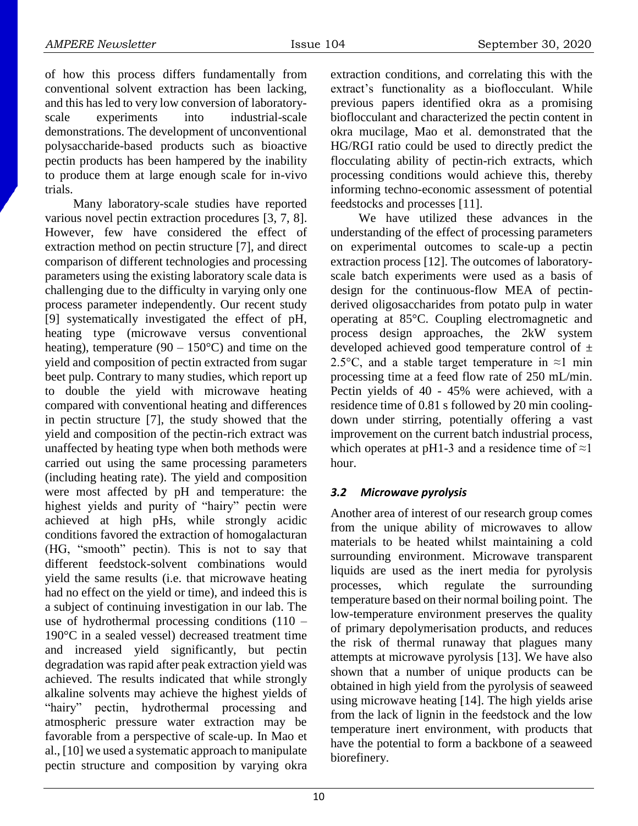of how this process differs fundamentally from conventional solvent extraction has been lacking, and this has led to very low conversion of laboratoryscale experiments into industrial-scale demonstrations. The development of unconventional polysaccharide-based products such as bioactive pectin products has been hampered by the inability to produce them at large enough scale for in-vivo trials.

Many laboratory-scale studies have reported various novel pectin extraction procedures [3, 7, 8]. However, few have considered the effect of extraction method on pectin structure [7], and direct comparison of different technologies and processing parameters using the existing laboratory scale data is challenging due to the difficulty in varying only one process parameter independently. Our recent study [9] systematically investigated the effect of pH, heating type (microwave versus conventional heating), temperature (90 – 150 $^{\circ}$ C) and time on the yield and composition of pectin extracted from sugar beet pulp. Contrary to many studies, which report up to double the yield with microwave heating compared with conventional heating and differences in pectin structure [7], the study showed that the yield and composition of the pectin-rich extract was unaffected by heating type when both methods were carried out using the same processing parameters (including heating rate). The yield and composition were most affected by pH and temperature: the highest yields and purity of "hairy" pectin were achieved at high pHs, while strongly acidic conditions favored the extraction of homogalacturan (HG, "smooth" pectin). This is not to say that different feedstock-solvent combinations would yield the same results (i.e. that microwave heating had no effect on the yield or time), and indeed this is a subject of continuing investigation in our lab. The use of hydrothermal processing conditions  $(110 -$ 190°C in a sealed vessel) decreased treatment time and increased yield significantly, but pectin degradation was rapid after peak extraction yield was achieved. The results indicated that while strongly alkaline solvents may achieve the highest yields of "hairy" pectin, hydrothermal processing and atmospheric pressure water extraction may be favorable from a perspective of scale-up. In Mao et al., [10] we used a systematic approach to manipulate pectin structure and composition by varying okra

extraction conditions, and correlating this with the extract's functionality as a bioflocculant. While previous papers identified okra as a promising bioflocculant and characterized the pectin content in okra mucilage, Mao et al. demonstrated that the HG/RGI ratio could be used to directly predict the flocculating ability of pectin-rich extracts, which processing conditions would achieve this, thereby informing techno-economic assessment of potential feedstocks and processes [11].

We have utilized these advances in the understanding of the effect of processing parameters on experimental outcomes to scale-up a pectin extraction process [12]. The outcomes of laboratoryscale batch experiments were used as a basis of design for the continuous-flow MEA of pectinderived oligosaccharides from potato pulp in water operating at 85°C. Coupling electromagnetic and process design approaches, the 2kW system developed achieved good temperature control of  $\pm$ 2.5°C, and a stable target temperature in  $\approx$ 1 min processing time at a feed flow rate of 250 mL/min. Pectin yields of 40 - 45% were achieved, with a residence time of 0.81 s followed by 20 min coolingdown under stirring, potentially offering a vast improvement on the current batch industrial process, which operates at pH1-3 and a residence time of  $\approx$ 1 hour.

## *3.2 Microwave pyrolysis*

Another area of interest of our research group comes from the unique ability of microwaves to allow materials to be heated whilst maintaining a cold surrounding environment. Microwave transparent liquids are used as the inert media for pyrolysis processes, which regulate the surrounding temperature based on their normal boiling point. The low-temperature environment preserves the quality of primary depolymerisation products, and reduces the risk of thermal runaway that plagues many attempts at microwave pyrolysis [13]. We have also shown that a number of unique products can be obtained in high yield from the pyrolysis of seaweed using microwave heating [14]. The high yields arise from the lack of lignin in the feedstock and the low temperature inert environment, with products that have the potential to form a backbone of a seaweed biorefinery.